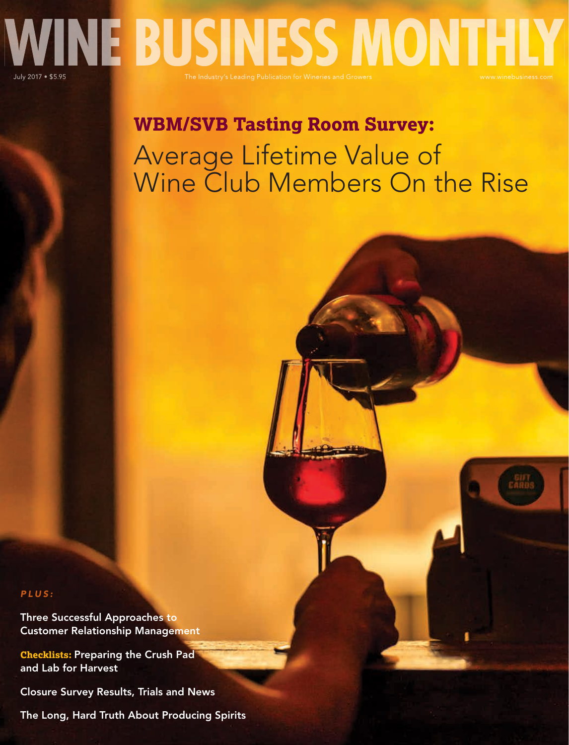# July 2017 • \$5.95 **WINE BUSINESS MONTHLY**

## **WBM/SVB Tasting Room Survey:** Average Lifetime Value of Wine Club Members On the Rise

#### *P L U S :*

Three Successful Approaches to Customer Relationship Management

**Checklists:** Preparing the Crush Pad and Lab for Harvest

Closure Survey Results, Trials and News

The Long, Hard Truth About Producing Spirits